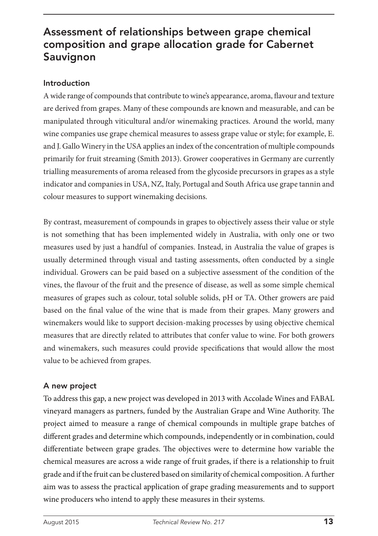# Assessment of relationships between grape chemical composition and grape allocation grade for Cabernet Sauvignon

## Introduction

A wide range of compounds that contribute to wine's appearance, aroma, flavour and texture are derived from grapes. Many of these compounds are known and measurable, and can be manipulated through viticultural and/or winemaking practices. Around the world, many wine companies use grape chemical measures to assess grape value or style; for example, E. and J. Gallo Winery in the USA applies an index of the concentration of multiple compounds primarily for fruit streaming (Smith 2013). Grower cooperatives in Germany are currently trialling measurements of aroma released from the glycoside precursors in grapes as a style indicator and companies in USA, NZ, Italy, Portugal and South Africa use grape tannin and colour measures to support winemaking decisions.

By contrast, measurement of compounds in grapes to objectively assess their value or style is not something that has been implemented widely in Australia, with only one or two measures used by just a handful of companies. Instead, in Australia the value of grapes is usually determined through visual and tasting assessments, often conducted by a single individual. Growers can be paid based on a subjective assessment of the condition of the vines, the flavour of the fruit and the presence of disease, as well as some simple chemical measures of grapes such as colour, total soluble solids, pH or TA. Other growers are paid based on the final value of the wine that is made from their grapes. Many growers and winemakers would like to support decision-making processes by using objective chemical measures that are directly related to attributes that confer value to wine. For both growers and winemakers, such measures could provide specifications that would allow the most value to be achieved from grapes.

## A new project

To address this gap, a new project was developed in 2013 with Accolade Wines and FABAL vineyard managers as partners, funded by the Australian Grape and Wine Authority. The project aimed to measure a range of chemical compounds in multiple grape batches of different grades and determine which compounds, independently or in combination, could differentiate between grape grades. The objectives were to determine how variable the chemical measures are across a wide range of fruit grades, if there is a relationship to fruit grade and if the fruit can be clustered based on similarity of chemical composition. A further aim was to assess the practical application of grape grading measurements and to support wine producers who intend to apply these measures in their systems.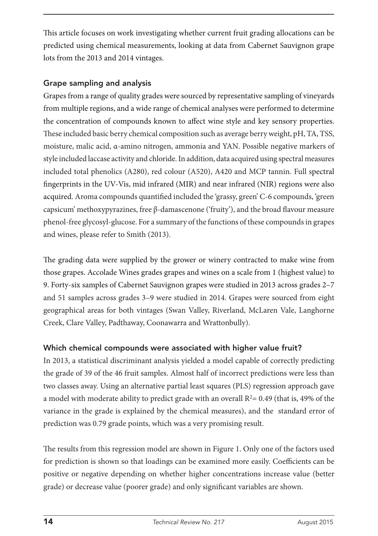This article focuses on work investigating whether current fruit grading allocations can be predicted using chemical measurements, looking at data from Cabernet Sauvignon grape lots from the 2013 and 2014 vintages.

## Grape sampling and analysis

Grapes from a range of quality grades were sourced by representative sampling of vineyards from multiple regions, and a wide range of chemical analyses were performed to determine the concentration of compounds known to affect wine style and key sensory properties. These included basic berry chemical composition such as average berry weight, pH, TA, TSS, moisture, malic acid, α-amino nitrogen, ammonia and YAN. Possible negative markers of style included laccase activity and chloride. In addition, data acquired using spectral measures included total phenolics (A280), red colour (A520), A420 and MCP tannin. Full spectral fingerprints in the UV-Vis, mid infrared (MIR) and near infrared (NIR) regions were also acquired. Aroma compounds quantified included the 'grassy, green' C-6 compounds, 'green capsicum' methoxypyrazines, free β-damascenone ('fruity'), and the broad flavour measure phenol-free glycosyl-glucose. For a summary of the functions of these compounds in grapes and wines, please refer to Smith (2013).

The grading data were supplied by the grower or winery contracted to make wine from those grapes. Accolade Wines grades grapes and wines on a scale from 1 (highest value) to 9. Forty-six samples of Cabernet Sauvignon grapes were studied in 2013 across grades 2–7 and 51 samples across grades 3–9 were studied in 2014. Grapes were sourced from eight geographical areas for both vintages (Swan Valley, Riverland, McLaren Vale, Langhorne Creek, Clare Valley, Padthaway, Coonawarra and Wrattonbully).

# Which chemical compounds were associated with higher value fruit?

In 2013, a statistical discriminant analysis yielded a model capable of correctly predicting the grade of 39 of the 46 fruit samples. Almost half of incorrect predictions were less than two classes away. Using an alternative partial least squares (PLS) regression approach gave a model with moderate ability to predict grade with an overall  $R^2$  = 0.49 (that is, 49% of the variance in the grade is explained by the chemical measures), and the standard error of prediction was 0.79 grade points, which was a very promising result.

The results from this regression model are shown in Figure 1. Only one of the factors used for prediction is shown so that loadings can be examined more easily. Coefficients can be positive or negative depending on whether higher concentrations increase value (better grade) or decrease value (poorer grade) and only significant variables are shown.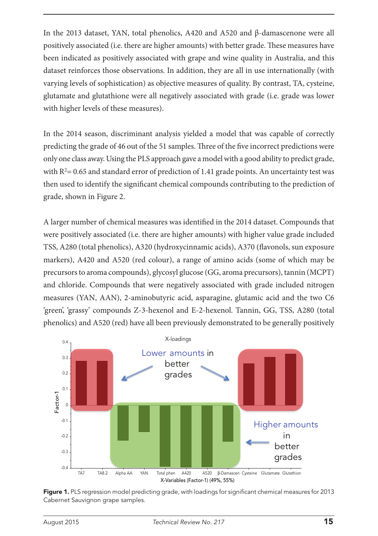In the 2013 dataset, YAN, total phenolics, A420 and A520 and β-damascenone were all positively associated (i.e. there are higher amounts) with better grade. These measures have been indicated as positively associated with grape and wine quality in Australia, and this dataset reinforces those observations. In addition, they are all in use internationally (with varying levels of sophistication) as objective measures of quality. By contrast, TA, cysteine, glutamate and glutathione were all negatively associated with grade (i.e. grade was lower with higher levels of these measures).

In the 2014 season, discriminant analysis yielded a model that was capable of correctly predicting the grade of 46 out of the 51 samples. Three of the five incorrect predictions were only one class away. Using the PLS approach gave a model with a good ability to predict grade, with  $R<sup>2</sup>= 0.65$  and standard error of prediction of 1.41 grade points. An uncertainty test was then used to identify the significant chemical compounds contributing to the prediction of grade, shown in Figure 2.

A larger number of chemical measures was identified in the 2014 dataset. Compounds that were positively associated (i.e. there are higher amounts) with higher value grade included TSS, A280 (total phenolics), A320 (hydroxycinnamic acids), A370 (flavonols, sun exposure markers), A420 and A520 (red colour), a range of amino acids (some of which may be precursors to aroma compounds), glycosyl glucose (GG, aroma precursors), tannin (MCPT) and chloride. Compounds that were negatively associated with grade included nitrogen measures (YAN, AAN), 2-aminobutyric acid, asparagine, glutamic acid and the two C6 'green', 'grassy' compounds Z-3-hexenol and E-2-hexenol. Tannin, GG, TSS, A280 (total phenolics) and A520 (red) have all been previously demonstrated to be generally positively



Figure 1. PLS regression model predicting grade, with loadings for significant chemical measures for 2013 Cabernet Sauvignon grape samples.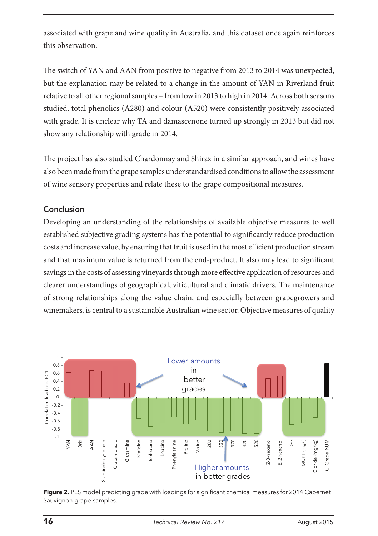associated with grape and wine quality in Australia, and this dataset once again reinforces this observation.

The switch of YAN and AAN from positive to negative from 2013 to 2014 was unexpected, but the explanation may be related to a change in the amount of YAN in Riverland fruit relative to all other regional samples – from low in 2013 to high in 2014. Across both seasons studied, total phenolics (A280) and colour (A520) were consistently positively associated with grade. It is unclear why TA and damascenone turned up strongly in 2013 but did not show any relationship with grade in 2014.

The project has also studied Chardonnay and Shiraz in a similar approach, and wines have also been made from the grape samples under standardised conditions to allow the assessment of wine sensory properties and relate these to the grape compositional measures.

### Conclusion

Developing an understanding of the relationships of available objective measures to well established subjective grading systems has the potential to significantly reduce production costs and increase value, by ensuring that fruit is used in the most efficient production stream and that maximum value is returned from the end-product. It also may lead to significant savings in the costs of assessing vineyards through more effective application of resources and clearer understandings of geographical, viticultural and climatic drivers. The maintenance of strong relationships along the value chain, and especially between grapegrowers and winemakers, is central to a sustainable Australian wine sector. Objective measures of quality



Figure 2. PLS model predicting grade with loadings for significant chemical measures for 2014 Cabernet Sauvignon grape samples.